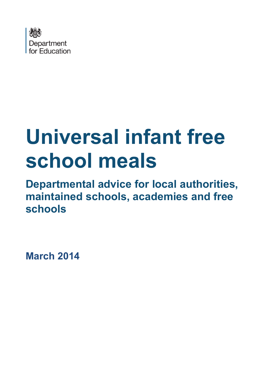

# **Universal infant free school meals**

**Departmental advice for local authorities, maintained schools, academies and free schools**

**March 2014**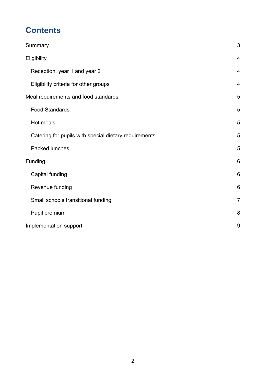# **Contents**

| Summary                                               | 3              |
|-------------------------------------------------------|----------------|
| Eligibility                                           | $\overline{4}$ |
| Reception, year 1 and year 2                          | $\overline{4}$ |
| Eligibility criteria for other groups                 | $\overline{4}$ |
| Meal requirements and food standards                  | 5              |
| <b>Food Standards</b>                                 | 5              |
| Hot meals                                             | 5              |
| Catering for pupils with special dietary requirements | 5              |
| Packed lunches                                        | 5              |
| Funding                                               | 6              |
| Capital funding                                       | 6              |
| Revenue funding                                       | 6              |
| Small schools transitional funding                    | $\overline{7}$ |
| Pupil premium                                         | 8              |
| Implementation support                                | 9              |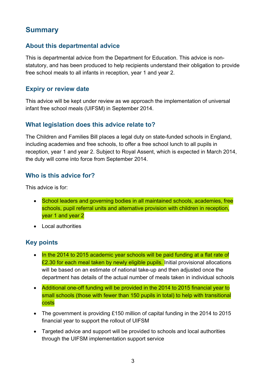## <span id="page-2-0"></span>**Summary**

#### **About this departmental advice**

This is departmental advice from the Department for Education. This advice is nonstatutory, and has been produced to help recipients understand their obligation to provide free school meals to all infants in reception, year 1 and year 2.

#### **Expiry or review date**

This advice will be kept under review as we approach the implementation of universal infant free school meals (UIFSM) in September 2014.

#### **What legislation does this advice relate to?**

The Children and Families Bill places a legal duty on state-funded schools in England, including academies and free schools, to offer a free school lunch to all pupils in reception, year 1 and year 2. Subject to Royal Assent, which is expected in March 2014, the duty will come into force from September 2014.

#### **Who is this advice for?**

This advice is for:

- School leaders and governing bodies in all maintained schools, academies, free schools, pupil referral units and alternative provision with children in reception, year 1 and year 2
- Local authorities

#### **Key points**

- In the 2014 to 2015 academic year schools will be paid funding at a flat rate of £2.30 for each meal taken by newly eligible pupils. Initial provisional allocations will be based on an estimate of national take-up and then adjusted once the department has details of the actual number of meals taken in individual schools
- Additional one-off funding will be provided in the 2014 to 2015 financial year to small schools (those with fewer than 150 pupils in total) to help with transitional costs
- The government is providing £150 million of capital funding in the 2014 to 2015 financial year to support the rollout of UIFSM
- Targeted advice and support will be provided to schools and local authorities through the UIFSM implementation support service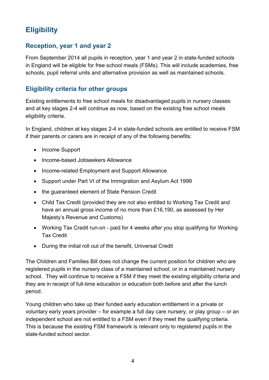# <span id="page-3-0"></span>**Eligibility**

#### <span id="page-3-1"></span>**Reception, year 1 and year 2**

From September 2014 all pupils in reception, year 1 and year 2 in state-funded schools in England will be eligible for free school meals (FSMs). This will include academies, free schools, pupil referral units and alternative provision as well as maintained schools.

#### <span id="page-3-2"></span>**Eligibility criteria for other groups**

Existing entitlements to free school meals for disadvantaged pupils in nursery classes and at key stages 2-4 will continue as now, based on the existing free school meals eligibility criteria.

In England, children at key stages 2-4 in state-funded schools are entitled to receive FSM if their parents or carers are in receipt of any of the following benefits:

- Income Support
- Income-based Jobseekers Allowance
- Income-related Employment and Support Allowance
- Support under Part VI of the Immigration and Asylum Act 1999
- the guaranteed element of State Pension Credit
- Child Tax Credit (provided they are not also entitled to Working Tax Credit and have an annual gross income of no more than £16,190, as assessed by Her Majesty's Revenue and Customs)
- Working Tax Credit run-on paid for 4 weeks after you stop qualifying for Working Tax Credit
- During the initial roll out of the benefit, Universal Credit

The Children and Families Bill does not change the current position for children who are registered pupils in the nursery class of a maintained school, or in a maintained nursery school. They will continue to receive a FSM if they meet the existing eligibility criteria and they are in receipt of full-time education or education both before and after the lunch period.

Young children who take up their funded early education entitlement in a private or voluntary early years provider – for example a full day care nursery, or play group – or an independent school are not entitled to a FSM even if they meet the qualifying criteria. This is because the existing FSM framework is relevant only to registered pupils in the state-funded school sector.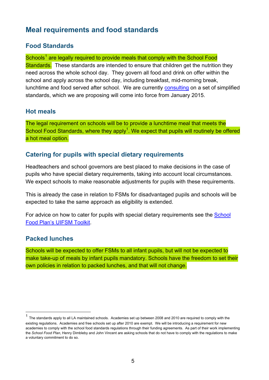## <span id="page-4-0"></span>**Meal requirements and food standards**

#### <span id="page-4-1"></span>**Food Standards**

Schools<sup>[1](#page-4-5)</sup> are legally required to provide meals that comply with the School Food Standards. These standards are intended to ensure that children get the nutrition they need across the whole school day. They govern all food and drink on offer within the school and apply across the school day, including breakfast, mid-morning break, lunchtime and food served after school. We are currently [consulting](https://www.gov.uk/government/publications?publication_filter_option=consultations) on a set of simplified standards, which we are proposing will come into force from January 2015.

#### <span id="page-4-2"></span>**Hot meals**

The legal requirement on schools will be to provide a lunchtime meal that meets the School Food Standards, where they apply<sup>1</sup>. We expect that pupils will routinely be offered a hot meal option.

#### <span id="page-4-3"></span>**Catering for pupils with special dietary requirements**

Headteachers and school governors are best placed to make decisions in the case of pupils who have special dietary requirements, taking into account local circumstances. We expect schools to make reasonable adjustments for pupils with these requirements.

This is already the case in relation to FSMs for disadvantaged pupils and schools will be expected to take the same approach as eligibility is extended.

For advice on how to cater for pupils with special dietary requirements see the [School](http://www.schoolfoodplan.com/toolkit)  [Food Plan's UIFSM Toolkit.](http://www.schoolfoodplan.com/toolkit)

#### <span id="page-4-4"></span>**Packed lunches**

Schools will be expected to offer FSMs to all infant pupils, but will not be expected to make take-up of meals by infant pupils mandatory. Schools have the freedom to set their own policies in relation to packed lunches, and that will not change.

<span id="page-4-5"></span> <sup>1</sup> The standards apply to all LA maintained schools. Academies set up between 2008 and 2010 are required to comply with the existing regulations. Academies and free schools set up after 2010 are exempt. We will be introducing a requirement for new academies to comply with the school food standards regulations through their funding agreements. As part of their work implementing the *School Food Plan*, Henry Dimbleby and John Vincent are asking schools that do not have to comply with the regulations to make a voluntary commitment to do so.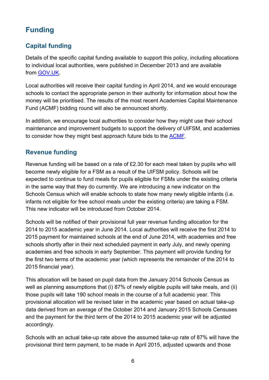# <span id="page-5-0"></span>**Funding**

### <span id="page-5-1"></span>**Capital funding**

Details of the specific capital funding available to support this policy, including allocations to individual local authorities, were published in December 2013 and are available from [GOV.UK.](https://www.gov.uk/government/publications/capital-allocations-for-basic-need-and-infant-free-school-meals)

Local authorities will receive their capital funding in April 2014, and we would encourage schools to contact the appropriate person in their authority for information about how the money will be prioritised. The results of the most recent Academies Capital Maintenance Fund (ACMF) bidding round will also be announced shortly.

In addition, we encourage local authorities to consider how they might use their school maintenance and improvement budgets to support the delivery of UIFSM, and academies to consider how they might best approach future bids to the [ACMF.](http://www.education.gov.uk/aboutdfe/executiveagencies/efa/schoolscapital/b00231497/efa-academies-capital)

#### <span id="page-5-2"></span>**Revenue funding**

Revenue funding will be based on a rate of £2.30 for each meal taken by pupils who will become newly eligible for a FSM as a result of the UIFSM policy. Schools will be expected to continue to fund meals for pupils eligible for FSMs under the existing criteria in the same way that they do currently. We are introducing a new indicator on the Schools Census which will enable schools to state how many newly eligible infants (i.e. infants not eligible for free school meals under the existing criteria) are taking a FSM. This new indicator will be introduced from October 2014.

Schools will be notified of their provisional full year revenue funding allocation for the 2014 to 2015 academic year in June 2014. Local authorities will receive the first 2014 to 2015 payment for maintained schools at the end of June 2014, with academies and free schools shortly after in their next scheduled payment in early July, and newly opening academies and free schools in early September. This payment will provide funding for the first two terms of the academic year (which represents the remainder of the 2014 to 2015 financial year).

This allocation will be based on pupil data from the January 2014 Schools Census as well as planning assumptions that (i) 87% of newly eligible pupils will take meals, and (ii) those pupils will take 190 school meals in the course of a full academic year. This provisional allocation will be revised later in the academic year based on actual take-up data derived from an average of the October 2014 and January 2015 Schools Censuses and the payment for the third term of the 2014 to 2015 academic year will be adjusted accordingly.

Schools with an actual take-up rate above the assumed take-up rate of 87% will have the provisional third term payment, to be made in April 2015, adjusted upwards and those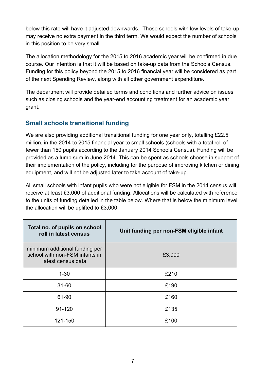below this rate will have it adjusted downwards. Those schools with low levels of take-up may receive no extra payment in the third term. We would expect the number of schools in this position to be very small.

The allocation methodology for the 2015 to 2016 academic year will be confirmed in due course. Our intention is that it will be based on take-up data from the Schools Census. Funding for this policy beyond the 2015 to 2016 financial year will be considered as part of the next Spending Review, along with all other government expenditure.

The department will provide detailed terms and conditions and further advice on issues such as closing schools and the year-end accounting treatment for an academic year grant.

#### <span id="page-6-0"></span>**Small schools transitional funding**

We are also providing additional transitional funding for one year only, totalling £22.5 million, in the 2014 to 2015 financial year to small schools (schools with a total roll of fewer than 150 pupils according to the January 2014 Schools Census). Funding will be provided as a lump sum in June 2014. This can be spent as schools choose in support of their implementation of the policy, including for the purpose of improving kitchen or dining equipment, and will not be adjusted later to take account of take-up.

All small schools with infant pupils who were not eligible for FSM in the 2014 census will receive at least £3,000 of additional funding. Allocations will be calculated with reference to the units of funding detailed in the table below. Where that is below the minimum level the allocation will be uplifted to £3,000.

| Total no. of pupils on school<br>roll in latest census                                 | Unit funding per non-FSM eligible infant |
|----------------------------------------------------------------------------------------|------------------------------------------|
| minimum additional funding per<br>school with non-FSM infants in<br>latest census data | £3,000                                   |
| $1 - 30$                                                                               | £210                                     |
| $31 - 60$                                                                              | £190                                     |
| 61-90                                                                                  | £160                                     |
| $91 - 120$                                                                             | £135                                     |
| 121-150                                                                                | £100                                     |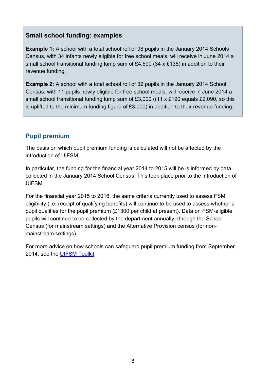#### **Small school funding: examples**

**Example 1:** A school with a total school roll of 98 pupils in the January 2014 Schools Census, with 34 infants newly eligible for free school meals, will receive in June 2014 a small school transitional funding lump sum of £4,590 (34 x £135) in addition to their revenue funding.

**Example 2:** A school with a total school roll of 32 pupils in the January 2014 School Census, with 11 pupils newly eligible for free school meals, will receive in June 2014 a small school transitional funding lump sum of £3,000 ((11 x £190 equals £2,090, so this is uplifted to the minimum funding figure of £3,000) in addition to their revenue funding.

#### <span id="page-7-0"></span>**Pupil premium**

The basis on which pupil premium funding is calculated will not be affected by the introduction of UIFSM.

In particular, the funding for the financial year 2014 to 2015 will be is informed by data collected in the January 2014 School Census. This took place prior to the introduction of UIFSM.

For the financial year 2015 to 2016, the same criteria currently used to assess FSM eligibility (i.e. receipt of qualifying benefits) will continue to be used to assess whether a pupil qualifies for the pupil premium (£1300 per child at present). Data on FSM-eligible pupils will continue to be collected by the department annually, through the School Census (for mainstream settings) and the Alternative Provision census (for nonmainstream settings).

For more advice on how schools can safeguard pupil premium funding from September 2014, see the [UIFSM Toolkit.](http://www.schoolfoodplan.com/toolkit)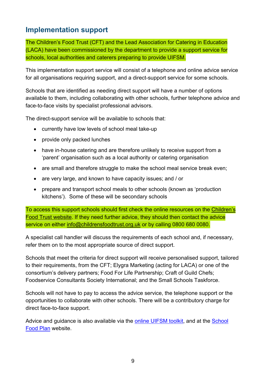## <span id="page-8-0"></span>**Implementation support**

The Children's Food Trust (CFT) and the Lead Association for Catering in Education (LACA) have been commissioned by the department to provide a support service for schools, local authorities and caterers preparing to provide UIFSM.

This implementation support service will consist of a telephone and online advice service for all organisations requiring support, and a direct-support service for some schools.

Schools that are identified as needing direct support will have a number of options available to them, including collaborating with other schools, further telephone advice and face-to-face visits by specialist professional advisors.

The direct-support service will be available to schools that:

- $\bullet$  currently have low levels of school meal take-up
- provide only packed lunches
- have in-house catering and are therefore unlikely to receive support from a 'parent' organisation such as a local authority or catering organisation
- are small and therefore struggle to make the school meal service break even;
- are very large, and known to have capacity issues; and / or
- prepare and transport school meals to other schools (known as 'production kitchens'). Some of these will be secondary schools

To access this support schools should first check the online resources on the [Children's](http://www.childrensfoodtrust.org.uk/schoolfoodplan)  [Food Trust website.](http://www.childrensfoodtrust.org.uk/schoolfoodplan) If they need further advice, they should then contact the advice service on either [info@childrensfoodtrust.org.uk](mailto:info@childrensfoodtrust.org.uk) or by calling 0800 680 0080.

A specialist call handler will discuss the requirements of each school and, if necessary, refer them on to the most appropriate source of direct support.

Schools that meet the criteria for direct support will receive personalised support, tailored to their requirements, from the CFT; Elygra Marketing (acting for LACA) or one of the consortium's delivery partners; Food For Life Partnership; Craft of Guild Chefs; Foodservice Consultants Society International; and the Small Schools Taskforce.

Schools will not have to pay to access the advice service, the telephone support or the opportunities to collaborate with other schools. There will be a contributory charge for direct face-to-face support.

Advice and guidance is also available via the [online UIFSM toolkit,](http://www.schoolfoodplan.com/toolkit) and at the [School](http://www.schoolfoodplan.com/universal-free-school-meals/)  [Food Plan](http://www.schoolfoodplan.com/universal-free-school-meals/) website.